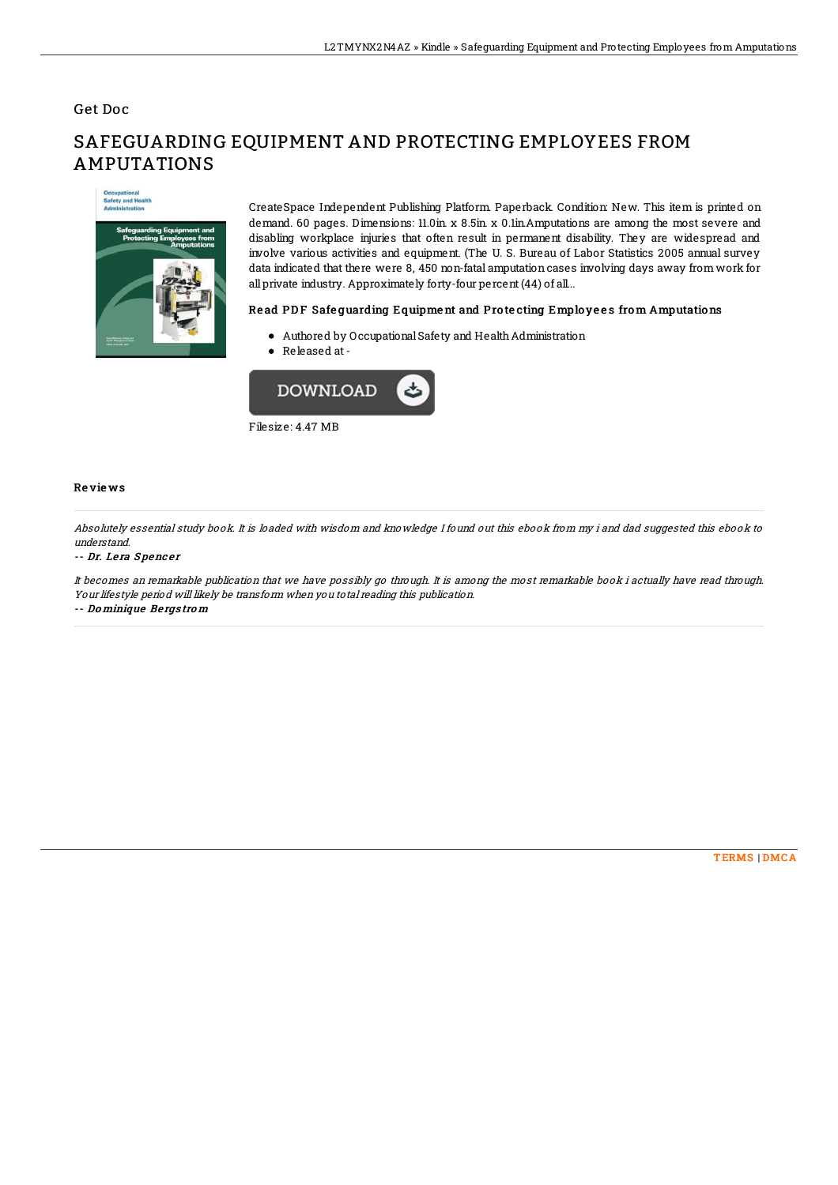## Get Doc

# **Occupational**<br>Safety and Health

# SAFEGUARDING EQUIPMENT AND PROTECTING EMPLOYEES FROM AMPUTATIONS

CreateSpace Independent Publishing Platform. Paperback. Condition: New. This item is printed on demand. 60 pages. Dimensions: 11.0in. x 8.5in. x 0.1in.Amputations are among the most severe and disabling workplace injuries that often result in permanent disability. They are widespread and involve various activities and equipment. (The U. S. Bureau of Labor Statistics 2005 annual survey data indicated that there were 8, 450 non-fatal amputation cases involving days away from work for all private industry. Approximately forty-four percent (44) of all...

### Read PDF Safequarding Equipment and Protecting Employees from Amputations

- Authored by OccupationalSafety and HealthAdministration
- Released at-



Filesize: 4.47 MB

### Re vie ws

Absolutely essential study book. It is loaded with wisdom and knowledge I found out this ebook from my i and dad suggested this ebook to understand.

### -- Dr. Lera Spencer

It becomes an remarkable publication that we have possibly go through. It is among the most remarkable book i actually have read through. Your lifestyle period will likely be transform when you total reading this publication. -- Do minique Be rgs tro <sup>m</sup>